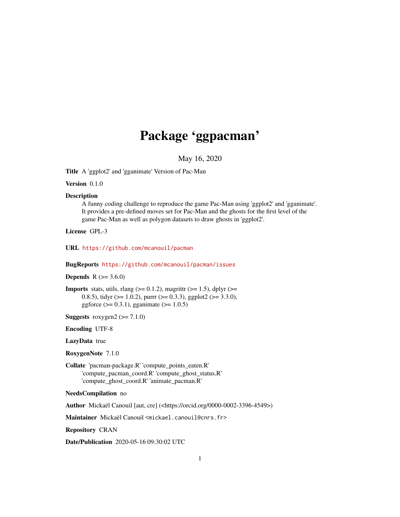## Package 'ggpacman'

May 16, 2020

<span id="page-0-0"></span>Title A 'ggplot2' and 'gganimate' Version of Pac-Man

Version 0.1.0

#### **Description**

A funny coding challenge to reproduce the game Pac-Man using 'ggplot2' and 'gganimate'. It provides a pre-defined moves set for Pac-Man and the ghosts for the first level of the game Pac-Man as well as polygon datasets to draw ghosts in 'ggplot2'.

License GPL-3

URL <https://github.com/mcanouil/pacman>

BugReports <https://github.com/mcanouil/pacman/issues>

#### **Depends** R  $(>= 3.6.0)$

**Imports** stats, utils, rlang ( $>= 0.1.2$ ), magrittr ( $>= 1.5$ ), dplyr ( $>= 1.5$ ) 0.8.5), tidyr ( $>= 1.0.2$ ), purrr ( $>= 0.3.3$ ), ggplot2 ( $>= 3.3.0$ ), ggforce ( $> = 0.3.1$ ), gganimate ( $>= 1.0.5$ )

Suggests roxygen2  $(>= 7.1.0)$ 

Encoding UTF-8

LazyData true

RoxygenNote 7.1.0

Collate 'pacman-package.R' 'compute\_points\_eaten.R' 'compute\_pacman\_coord.R' 'compute\_ghost\_status.R' 'compute\_ghost\_coord.R' 'animate\_pacman.R'

NeedsCompilation no

Author Mickaël Canouil [aut, cre] (<https://orcid.org/0000-0002-3396-4549>)

Maintainer Mickaël Canouil <mickael.canouil@cnrs.fr>

Repository CRAN

Date/Publication 2020-05-16 09:30:02 UTC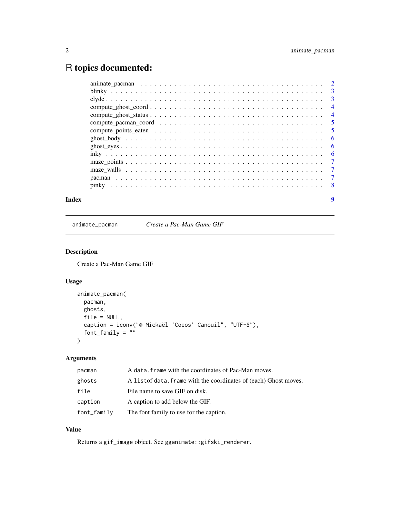### <span id="page-1-0"></span>R topics documented:

animate\_pacman *Create a Pac-Man Game GIF*

#### Description

Create a Pac-Man Game GIF

#### Usage

```
animate_pacman(
 pacman,
  ghosts,
  file = NULL,
  caption = iconv("© Mickaël 'Coeos' Canouil", "UTF-8"),
  font_family = ""
\mathcal{L}
```
#### Arguments

| pacman      | A data, frame with the coordinates of Pac-Man moves.             |
|-------------|------------------------------------------------------------------|
| ghosts      | A listof data. Frame with the coordinates of (each) Ghost moves. |
| file        | File name to save GIF on disk.                                   |
| caption     | A caption to add below the GIF.                                  |
| font_family | The font family to use for the caption.                          |

#### Value

Returns a gif\_image object. See gganimate::gifski\_renderer.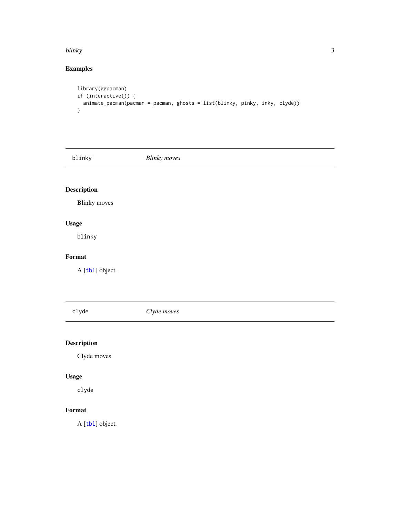#### <span id="page-2-0"></span>blinky 3

#### Examples

```
library(ggpacman)
if (interactive()) {
  animate_pacman(pacman = pacman, ghosts = list(blinky, pinky, inky, clyde))
}
```
blinky *Blinky moves*

#### Description

Blinky moves

#### Usage

blinky

#### Format

A [[tbl](#page-0-0)] object.

clyde *Clyde moves*

#### Description

Clyde moves

#### Usage

clyde

#### Format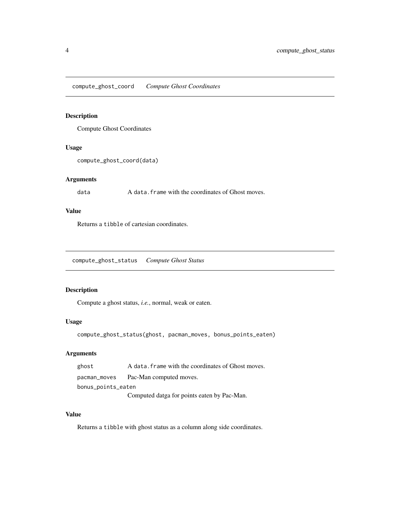<span id="page-3-0"></span>compute\_ghost\_coord *Compute Ghost Coordinates*

#### Description

Compute Ghost Coordinates

#### Usage

```
compute_ghost_coord(data)
```
#### Arguments

data A data. frame with the coordinates of Ghost moves.

#### Value

Returns a tibble of cartesian coordinates.

compute\_ghost\_status *Compute Ghost Status*

#### Description

Compute a ghost status, *i.e.*, normal, weak or eaten.

#### Usage

compute\_ghost\_status(ghost, pacman\_moves, bonus\_points\_eaten)

#### Arguments

| ghost              | A data. frame with the coordinates of Ghost moves. |
|--------------------|----------------------------------------------------|
| pacman_moves       | Pac-Man computed moves.                            |
| bonus_points_eaten |                                                    |
|                    | Computed datga for points eaten by Pac-Man.        |

#### Value

Returns a tibble with ghost status as a column along side coordinates.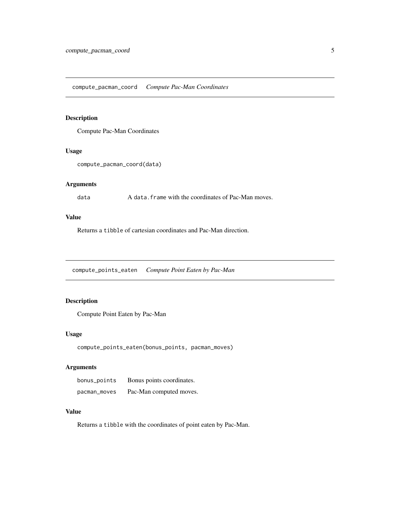#### <span id="page-4-0"></span>Description

Compute Pac-Man Coordinates

#### Usage

```
compute_pacman_coord(data)
```
#### Arguments

data A data.frame with the coordinates of Pac-Man moves.

#### Value

Returns a tibble of cartesian coordinates and Pac-Man direction.

compute\_points\_eaten *Compute Point Eaten by Pac-Man*

#### Description

Compute Point Eaten by Pac-Man

#### Usage

```
compute_points_eaten(bonus_points, pacman_moves)
```
#### Arguments

| bonus_points | Bonus points coordinates. |
|--------------|---------------------------|
| pacman_moves | Pac-Man computed moves.   |

#### Value

Returns a tibble with the coordinates of point eaten by Pac-Man.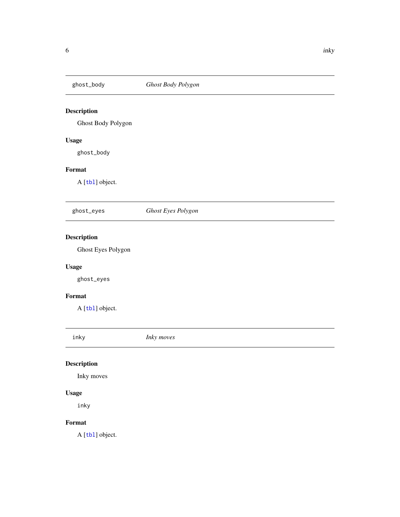<span id="page-5-0"></span>

#### Description

Ghost Body Polygon

#### Usage

ghost\_body

#### Format

A [[tbl](#page-0-0)] object.

ghost\_eyes *Ghost Eyes Polygon*

#### Description

Ghost Eyes Polygon

#### Usage

ghost\_eyes

#### Format

A [[tbl](#page-0-0)] object.

inky *Inky moves*

#### Description

Inky moves

#### Usage

inky

#### Format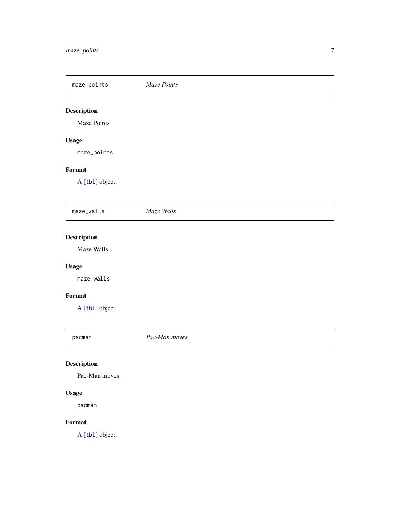<span id="page-6-0"></span>maze\_points *Maze Points*

## Description

Maze Points

#### Usage

maze\_points

#### Format

A [[tbl](#page-0-0)] object.

| maze_walls         | Maze Walls |
|--------------------|------------|
|                    |            |
| <b>Description</b> |            |
| Maze Walls         |            |
| <b>Usage</b>       |            |
| maze_walls         |            |
| Format             |            |

A [[tbl](#page-0-0)] object.

pacman *Pac-Man moves*

### Description

Pac-Man moves

#### Usage

pacman

#### Format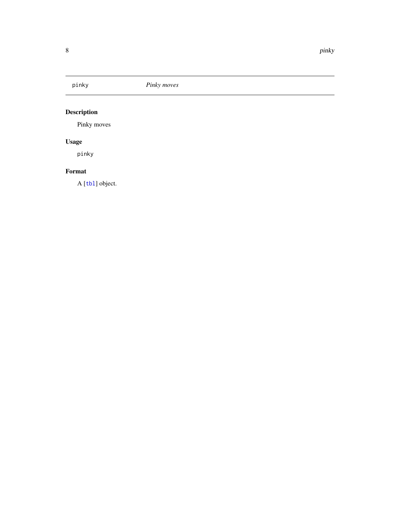<span id="page-7-0"></span>

### Description

Pinky moves

### Usage

pinky

#### Format